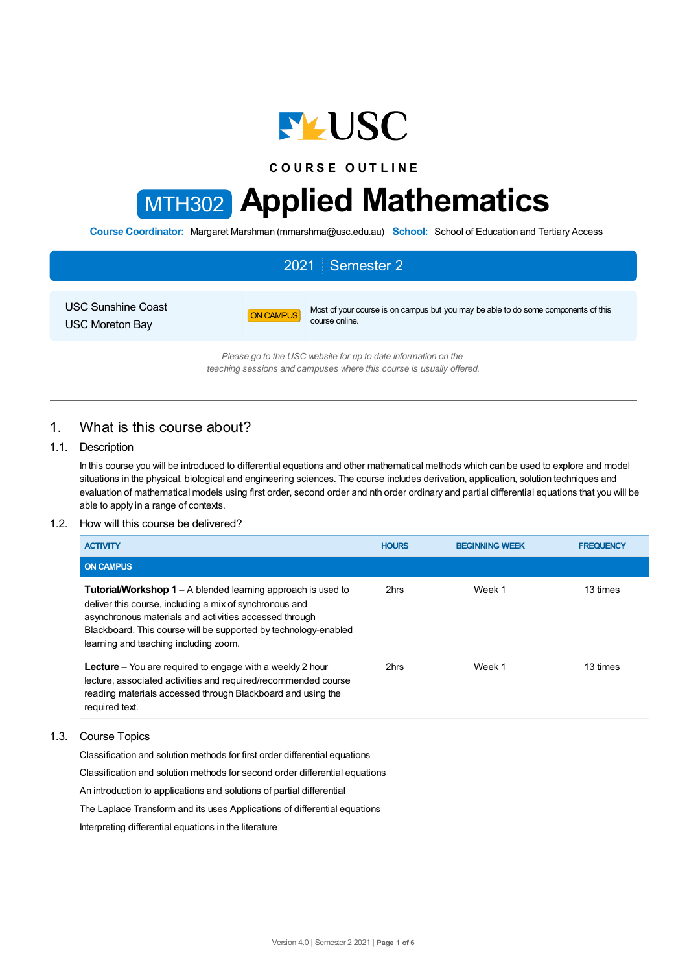

**C O U R S E O U T L I N E**

# MTH302 **Applied Mathematics**

**Course Coordinator:** Margaret Marshman (mmarshma@usc.edu.au) **School:** School of Education and Tertiary Access

# 2021 Semester 2

USC Sunshine Coast USC Moreton Bay

ON CAMPUS Most of your course is on campus but you may be able to do some components of this course online.

*Please go to the USC website for up to date information on the teaching sessions and campuses where this course is usually offered.*

# 1. What is this course about?

## 1.1. Description

In this course you will be introduced to differential equations and other mathematical methods which can be used to explore and model situations in the physical, biological and engineering sciences. The course includes derivation, application, solution techniques and evaluation of mathematical models using first order, second order and nth order ordinary and partial differential equations that you will be able to apply in a range of contexts.

### 1.2. How will this course be delivered?

| <b>ACTIVITY</b>                                                                                                                                                                                                                                                                                      | <b>HOURS</b> | <b>BEGINNING WEEK</b> | <b>FREQUENCY</b> |
|------------------------------------------------------------------------------------------------------------------------------------------------------------------------------------------------------------------------------------------------------------------------------------------------------|--------------|-----------------------|------------------|
| <b>ON CAMPUS</b>                                                                                                                                                                                                                                                                                     |              |                       |                  |
| <b>Tutorial/Workshop 1</b> – A blended learning approach is used to<br>deliver this course, including a mix of synchronous and<br>asynchronous materials and activities accessed through<br>Blackboard. This course will be supported by technology-enabled<br>learning and teaching including zoom. | 2hrs         | Week 1                | 13 times         |
| <b>Lecture</b> – You are required to engage with a weekly 2 hour<br>lecture, associated activities and required/recommended course<br>reading materials accessed through Blackboard and using the<br>required text.                                                                                  | 2hrs         | Week 1                | 13 times         |

#### 1.3. Course Topics

Classification and solution methods for first order differential equations

Classification and solution methods for second order differential equations

An introduction to applications and solutions of partial differential

The Laplace Transform and its uses Applications of differential equations

Interpreting differential equations in the literature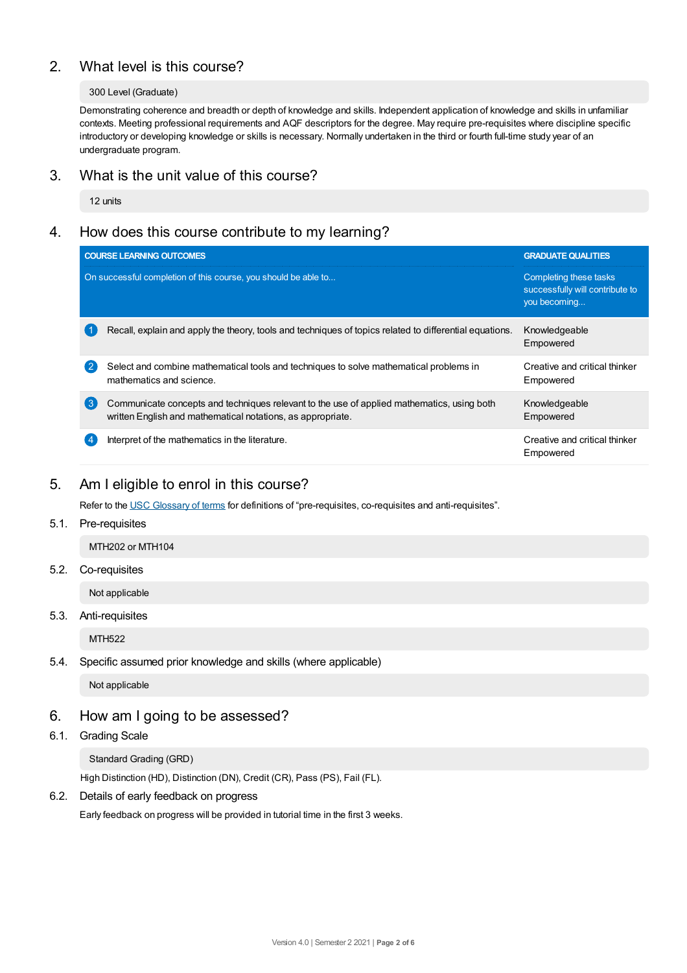# 2. What level is this course?

#### 300 Level (Graduate)

Demonstrating coherence and breadth or depth of knowledge and skills. Independent application of knowledge and skills in unfamiliar contexts. Meeting professional requirements and AQF descriptors for the degree. May require pre-requisites where discipline specific introductory or developing knowledge or skills is necessary. Normally undertaken in the third or fourth full-time study year of an undergraduate program.

## 3. What is the unit value of this course?

12 units

# 4. How does this course contribute to my learning?

|                  | <b>COURSE LEARNING OUTCOMES</b>                                                                                                                           | <b>GRADUATE QUALITIES</b>                                                 |
|------------------|-----------------------------------------------------------------------------------------------------------------------------------------------------------|---------------------------------------------------------------------------|
|                  | On successful completion of this course, you should be able to                                                                                            | Completing these tasks<br>successfully will contribute to<br>you becoming |
|                  | Recall, explain and apply the theory, tools and techniques of topics related to differential equations.                                                   | Knowledgeable<br>Empowered                                                |
| $\mathbf{2}$     | Select and combine mathematical tools and techniques to solve mathematical problems in<br>mathematics and science.                                        | Creative and critical thinker<br>Empowered                                |
| $\left(3\right)$ | Communicate concepts and techniques relevant to the use of applied mathematics, using both<br>written English and mathematical notations, as appropriate. | Knowledgeable<br>Empowered                                                |
|                  | Interpret of the mathematics in the literature.                                                                                                           | Creative and critical thinker<br>Empowered                                |

# 5. Am Ieligible to enrol in this course?

Refer to the USC [Glossary](https://www.usc.edu.au/about/policies-and-procedures/glossary-of-terms-for-policy-and-procedures) of terms for definitions of "pre-requisites, co-requisites and anti-requisites".

## 5.1. Pre-requisites

MTH202 or MTH104

## 5.2. Co-requisites

Not applicable

## 5.3. Anti-requisites

MTH522

## 5.4. Specific assumed prior knowledge and skills (where applicable)

Not applicable

## 6. How am Igoing to be assessed?

6.1. Grading Scale

Standard Grading (GRD)

High Distinction (HD), Distinction (DN), Credit (CR), Pass (PS), Fail (FL).

## 6.2. Details of early feedback on progress

Early feedback on progress will be provided in tutorial time in the first 3 weeks.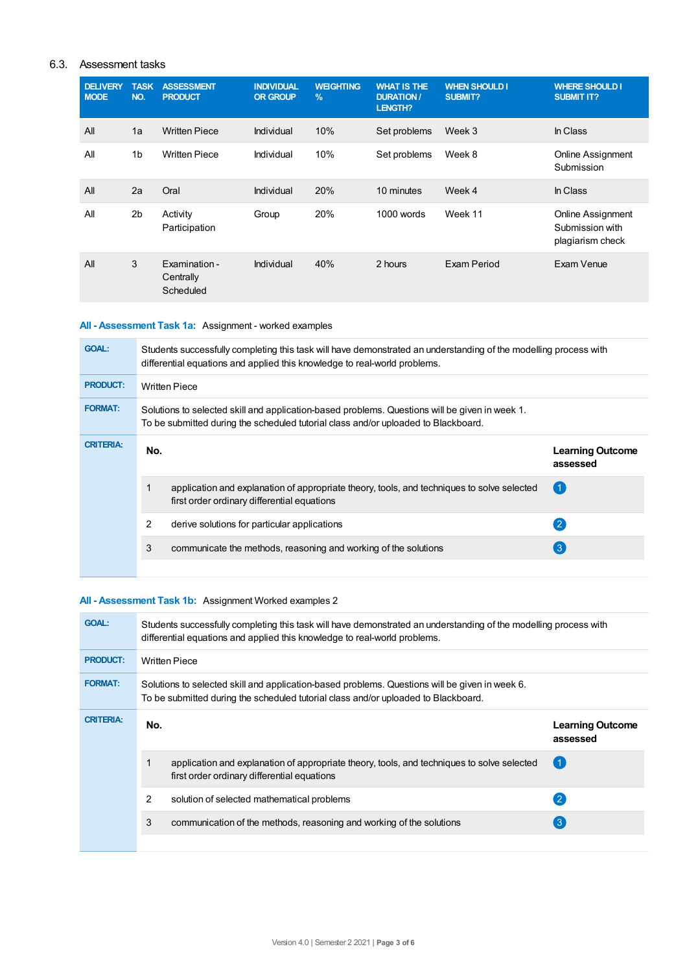## 6.3. Assessment tasks

| <b>DELIVERY</b><br><b>MODE</b> | <b>TASK</b><br>NO. | <b>ASSESSMENT</b><br><b>PRODUCT</b>     | <b>INDIVIDUAL</b><br><b>OR GROUP</b> | <b>WEIGHTING</b><br>$\frac{9}{6}$ | <b>WHAT IS THE</b><br><b>DURATION/</b><br><b>LENGTH?</b> | <b>WHEN SHOULD I</b><br>SUBMIT? | <b>WHERE SHOULD I</b><br><b>SUBMIT IT?</b>               |
|--------------------------------|--------------------|-----------------------------------------|--------------------------------------|-----------------------------------|----------------------------------------------------------|---------------------------------|----------------------------------------------------------|
| All                            | 1a                 | <b>Written Piece</b>                    | Individual                           | 10%                               | Set problems                                             | Week 3                          | In Class                                                 |
| All                            | 1 <sub>b</sub>     | <b>Written Piece</b>                    | Individual                           | 10%                               | Set problems                                             | Week 8                          | <b>Online Assignment</b><br>Submission                   |
| All                            | 2a                 | Oral                                    | Individual                           | 20%                               | 10 minutes                                               | Week 4                          | In Class                                                 |
| All                            | 2 <sub>b</sub>     | Activity<br>Participation               | Group                                | 20%                               | $1000$ words                                             | Week 11                         | Online Assignment<br>Submission with<br>plagiarism check |
| All                            | 3                  | Examination -<br>Centrally<br>Scheduled | Individual                           | 40%                               | 2 hours                                                  | Exam Period                     | Exam Venue                                               |

## **All - Assessment Task 1a:** Assignment - worked examples

| Students successfully completing this task will have demonstrated an understanding of the modelling process with<br>differential equations and applied this knowledge to real-world problems. |  |  |  |  |  |
|-----------------------------------------------------------------------------------------------------------------------------------------------------------------------------------------------|--|--|--|--|--|
| <b>Written Piece</b>                                                                                                                                                                          |  |  |  |  |  |
| Solutions to selected skill and application-based problems. Questions will be given in week 1.<br>To be submitted during the scheduled tutorial class and/or uploaded to Blackboard.          |  |  |  |  |  |
| <b>Learning Outcome</b><br>assessed                                                                                                                                                           |  |  |  |  |  |
|                                                                                                                                                                                               |  |  |  |  |  |
|                                                                                                                                                                                               |  |  |  |  |  |
|                                                                                                                                                                                               |  |  |  |  |  |
|                                                                                                                                                                                               |  |  |  |  |  |

## **All - Assessment Task 1b:** Assignment Worked examples 2

| <b>GOAL:</b>     | Students successfully completing this task will have demonstrated an understanding of the modelling process with<br>differential equations and applied this knowledge to real-world problems. |                                                                                                                                                                                      |                                     |  |  |  |
|------------------|-----------------------------------------------------------------------------------------------------------------------------------------------------------------------------------------------|--------------------------------------------------------------------------------------------------------------------------------------------------------------------------------------|-------------------------------------|--|--|--|
| <b>PRODUCT:</b>  |                                                                                                                                                                                               | <b>Written Piece</b>                                                                                                                                                                 |                                     |  |  |  |
| <b>FORMAT:</b>   |                                                                                                                                                                                               | Solutions to selected skill and application-based problems. Questions will be given in week 6.<br>To be submitted during the scheduled tutorial class and/or uploaded to Blackboard. |                                     |  |  |  |
| <b>CRITERIA:</b> | No.                                                                                                                                                                                           |                                                                                                                                                                                      | <b>Learning Outcome</b><br>assessed |  |  |  |
|                  |                                                                                                                                                                                               | application and explanation of appropriate theory, tools, and techniques to solve selected<br>first order ordinary differential equations                                            | 〔1                                  |  |  |  |
|                  |                                                                                                                                                                                               |                                                                                                                                                                                      |                                     |  |  |  |
|                  | 2                                                                                                                                                                                             | solution of selected mathematical problems                                                                                                                                           | $\mathbf{C}$                        |  |  |  |
|                  | 3                                                                                                                                                                                             | communication of the methods, reasoning and working of the solutions                                                                                                                 | $\left(3\right)$                    |  |  |  |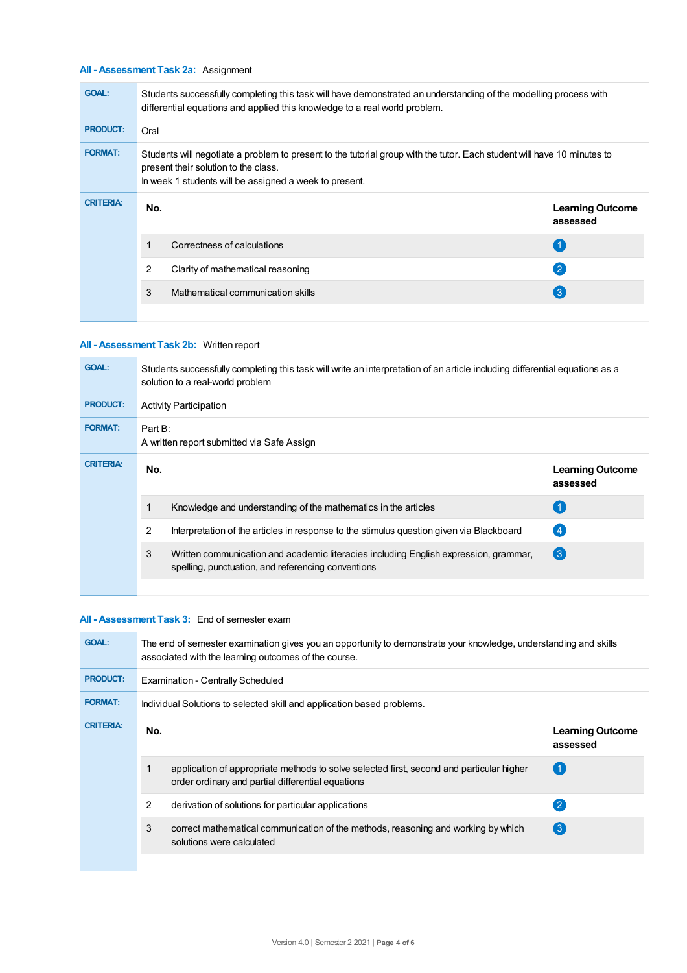## **All - Assessment Task 2a:** Assignment

| <b>GOAL:</b>     | Students successfully completing this task will have demonstrated an understanding of the modelling process with<br>differential equations and applied this knowledge to a real world problem.                            |                                   |                                     |  |  |  |
|------------------|---------------------------------------------------------------------------------------------------------------------------------------------------------------------------------------------------------------------------|-----------------------------------|-------------------------------------|--|--|--|
| <b>PRODUCT:</b>  | Oral                                                                                                                                                                                                                      |                                   |                                     |  |  |  |
| <b>FORMAT:</b>   | Students will negotiate a problem to present to the tutorial group with the tutor. Each student will have 10 minutes to<br>present their solution to the class.<br>In week 1 students will be assigned a week to present. |                                   |                                     |  |  |  |
| <b>CRITERIA:</b> | No.                                                                                                                                                                                                                       |                                   | <b>Learning Outcome</b><br>assessed |  |  |  |
|                  | 1                                                                                                                                                                                                                         | Correctness of calculations       | 〔1                                  |  |  |  |
|                  | 2                                                                                                                                                                                                                         | Clarity of mathematical reasoning | $\left( 2\right)$                   |  |  |  |
|                  | 3                                                                                                                                                                                                                         | Mathematical communication skills | $\left(3\right)$                    |  |  |  |
|                  |                                                                                                                                                                                                                           |                                   |                                     |  |  |  |

## **All - Assessment Task 2b:** Written report

| <b>GOAL:</b>     | Students successfully completing this task will write an interpretation of an article including differential equations as a<br>solution to a real-world problem |                                                                                                                                            |                                     |  |  |
|------------------|-----------------------------------------------------------------------------------------------------------------------------------------------------------------|--------------------------------------------------------------------------------------------------------------------------------------------|-------------------------------------|--|--|
| <b>PRODUCT:</b>  | <b>Activity Participation</b>                                                                                                                                   |                                                                                                                                            |                                     |  |  |
| <b>FORMAT:</b>   | Part B:<br>A written report submitted via Safe Assign                                                                                                           |                                                                                                                                            |                                     |  |  |
| <b>CRITERIA:</b> | No.                                                                                                                                                             |                                                                                                                                            | <b>Learning Outcome</b><br>assessed |  |  |
|                  |                                                                                                                                                                 | Knowledge and understanding of the mathematics in the articles                                                                             | (1)                                 |  |  |
|                  | 2                                                                                                                                                               | Interpretation of the articles in response to the stimulus question given via Blackboard                                                   | (4)                                 |  |  |
|                  | 3                                                                                                                                                               | Written communication and academic literacies including English expression, grammar,<br>spelling, punctuation, and referencing conventions | $\left(3\right)$                    |  |  |
|                  |                                                                                                                                                                 |                                                                                                                                            |                                     |  |  |

#### **All - Assessment Task 3:** End of semester exam

| <b>GOAL:</b>     | The end of semester examination gives you an opportunity to demonstrate your knowledge, understanding and skills<br>associated with the learning outcomes of the course. |                                                                                                                                               |                                     |  |  |  |
|------------------|--------------------------------------------------------------------------------------------------------------------------------------------------------------------------|-----------------------------------------------------------------------------------------------------------------------------------------------|-------------------------------------|--|--|--|
| <b>PRODUCT:</b>  |                                                                                                                                                                          | <b>Examination - Centrally Scheduled</b>                                                                                                      |                                     |  |  |  |
| <b>FORMAT:</b>   |                                                                                                                                                                          | Individual Solutions to selected skill and application based problems.                                                                        |                                     |  |  |  |
| <b>CRITERIA:</b> | No.                                                                                                                                                                      |                                                                                                                                               | <b>Learning Outcome</b><br>assessed |  |  |  |
|                  |                                                                                                                                                                          | application of appropriate methods to solve selected first, second and particular higher<br>order ordinary and partial differential equations |                                     |  |  |  |
|                  | 2                                                                                                                                                                        | derivation of solutions for particular applications                                                                                           | $\left( 2\right)$                   |  |  |  |
|                  | 3                                                                                                                                                                        | correct mathematical communication of the methods, reasoning and working by which<br>solutions were calculated                                | $\left(3\right)$                    |  |  |  |
|                  |                                                                                                                                                                          |                                                                                                                                               |                                     |  |  |  |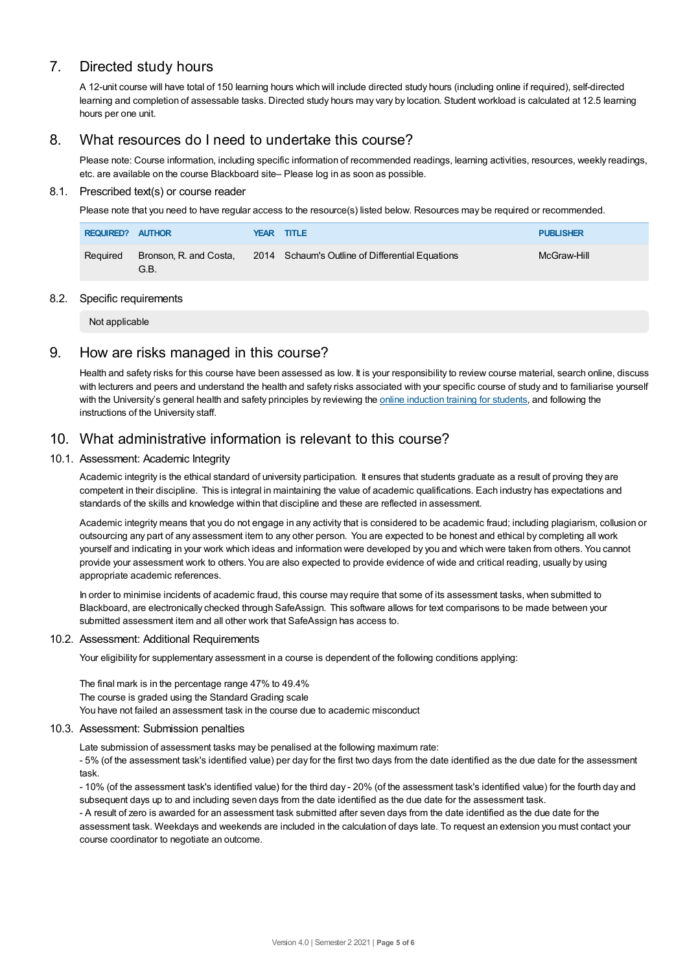# 7. Directed study hours

A 12-unit course will have total of 150 learning hours which will include directed study hours (including online if required), self-directed learning and completion of assessable tasks. Directed study hours may vary by location. Student workload is calculated at 12.5 learning hours per one unit.

## 8. What resources do I need to undertake this course?

Please note: Course information, including specific information of recommended readings, learning activities, resources, weekly readings, etc. are available on the course Blackboard site– Please log in as soon as possible.

#### 8.1. Prescribed text(s) or course reader

Please note that you need to have regular access to the resource(s) listed below. Resources may be required or recommended.

| REQUIRED? AUTHOR |                                | <b>YEAR TITLE</b>                               | <b>PUBLISHER</b> |
|------------------|--------------------------------|-------------------------------------------------|------------------|
| Required         | Bronson, R. and Costa,<br>G.B. | 2014 Schaum's Outline of Differential Equations | McGraw-Hill      |

### 8.2. Specific requirements

Not applicable

## 9. How are risks managed in this course?

Health and safety risks for this course have been assessed as low. It is your responsibility to review course material, search online, discuss with lecturers and peers and understand the health and safety risks associated with your specific course of study and to familiarise yourself with the University's general health and safety principles by reviewing the online [induction](https://online.usc.edu.au/webapps/blackboard/content/listContentEditable.jsp?content_id=_632657_1&course_id=_14432_1) training for students, and following the instructions of the University staff.

## 10. What administrative information is relevant to this course?

### 10.1. Assessment: Academic Integrity

Academic integrity is the ethical standard of university participation. It ensures that students graduate as a result of proving they are competent in their discipline. This is integral in maintaining the value of academic qualifications. Each industry has expectations and standards of the skills and knowledge within that discipline and these are reflected in assessment.

Academic integrity means that you do not engage in any activity that is considered to be academic fraud; including plagiarism, collusion or outsourcing any part of any assessment item to any other person. You are expected to be honest and ethical by completing all work yourself and indicating in your work which ideas and information were developed by you and which were taken from others. You cannot provide your assessment work to others.You are also expected to provide evidence of wide and critical reading, usually by using appropriate academic references.

In order to minimise incidents of academic fraud, this course may require that some of its assessment tasks, when submitted to Blackboard, are electronically checked through SafeAssign. This software allows for text comparisons to be made between your submitted assessment item and all other work that SafeAssign has access to.

#### 10.2. Assessment: Additional Requirements

Your eligibility for supplementary assessment in a course is dependent of the following conditions applying:

The final mark is in the percentage range 47% to 49.4% The course is graded using the Standard Grading scale You have not failed an assessment task in the course due to academic misconduct

#### 10.3. Assessment: Submission penalties

Late submission of assessment tasks may be penalised at the following maximum rate:

- 5% (of the assessment task's identified value) per day for the first two days from the date identified as the due date for the assessment task.

- 10% (of the assessment task's identified value) for the third day - 20% (of the assessment task's identified value) for the fourth day and subsequent days up to and including seven days from the date identified as the due date for the assessment task.

- A result of zero is awarded for an assessment task submitted after seven days from the date identified as the due date for the assessment task. Weekdays and weekends are included in the calculation of days late. To request an extension you must contact your course coordinator to negotiate an outcome.